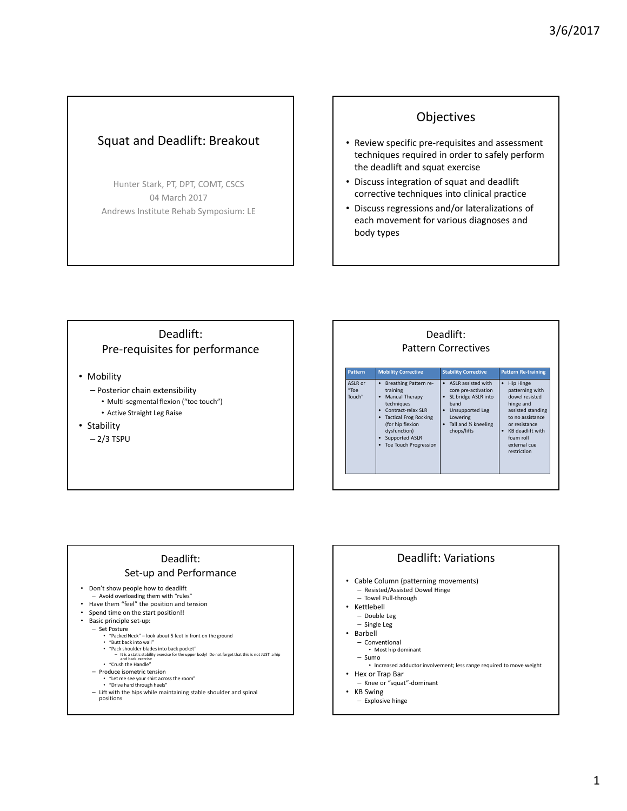## Squat and Deadlift: Breakout

Hunter Stark, PT, DPT, COMT, CSCS 04 March 2017 Andrews Institute Rehab Symposium: LE

## Objectives

- Review specific pre-requisites and assessment techniques required in order to safely perform the deadlift and squat exercise
- Discuss integration of squat and deadlift corrective techniques into clinical practice
- Discuss regressions and/or lateralizations of each movement for various diagnoses and body types

## Deadlift: Pre-requisites for performance

- Mobility
	- Posterior chain extensibility
	- Multi-segmental flexion ("toe touch")
	- Active Straight Leg Raise
- Stability
	- $-2/3$  TSPU

#### Deadlift: Pattern Correctives Pattern Mobility Corrective Stability Corrective Pattern Re-training ASLR or "Toe Touch" • Breathing Pattern retraining • Manual Therapy techniques • Contract-relax SLR • Tactical Frog Rocking (for hip flexion dysfunction) • Supported ASLR Toe Touch Progression • ASLR assisted with core pre-activation • SL bridge ASLR into band • Unsupported Leg Lowering • Tall and ½ kneeling chops/lifts • Hip Hinge patterning with dowel resisted hinge and assisted standing to no assistance or resistance • KB deadlift with foam roll external cue restriction

## Deadlift:

#### Set-up and Performance

- Don't show people how to deadlift
	- Avoid overloading them with "rules"
- Have them "feel" the position and tension
- Spend time on the start position!!
	- Basic principle set-up:
	- Set Posture "Packed Neck" look about 5 feet in front on the ground
		-
		- "Butt back into wall" "Pack shoulder blades into back pocket"
		- , back pocket<br>ise for the upper body! Do not forget that this is not JUST a hip and back exercise
	- "Crush the Handle" – Produce isometric tension
		-
		- "Let me see your shirt across the room" "Drive hard through heels"
	- Lift with the hips while maintaining stable shoulder and spinal positions
		-

#### Deadlift: Variations

- Cable Column (patterning movements) – Resisted/Assisted Dowel Hinge
	- Towel Pull-through
- Kettlebell
- Double Leg
- Single Leg
- Barbell
	- Conventional
	- Most hip dominant – Sumo
	- Increased adductor involvement; less range required to move weight • Hex or Trap Bar
- 
- Knee or "squat"-dominant
- **KB** Swing – Explosive hinge